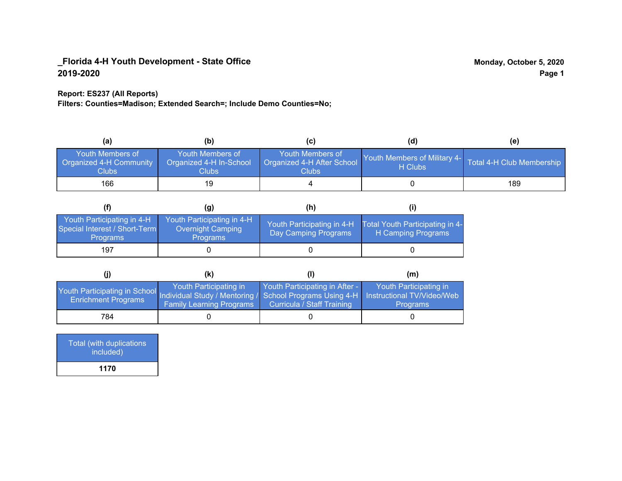### **Report: ES237 (All Reports)**

**Filters: Counties=Madison; Extended Search=; Include Demo Counties=No;**

| (a)                                                                | (b)                                                   | (C)                                                       | (d)                                                               | (e) |
|--------------------------------------------------------------------|-------------------------------------------------------|-----------------------------------------------------------|-------------------------------------------------------------------|-----|
| <b>Youth Members of</b><br><b>Organized 4-H Community</b><br>Clubs | Youth Members of<br>Organized 4-H In-School<br>Clubs: | Youth Members of<br>Organized 4-H After School<br>Clubs : | Youth Members of Military 4- Total 4-H Club Membership<br>H Clubs |     |
| 166                                                                | 19                                                    |                                                           |                                                                   | 189 |

|                                                                                | (g)                                                                | (h)                                                |                                                       |
|--------------------------------------------------------------------------------|--------------------------------------------------------------------|----------------------------------------------------|-------------------------------------------------------|
| Youth Participating in 4-H<br>Special Interest / Short-Term<br><b>Programs</b> | Youth Participating in 4-H<br>Overnight Camping<br><b>Programs</b> | Youth Participating in 4-H<br>Day Camping Programs | Total Youth Participating in 4-<br>H Camping Programs |
| 197                                                                            |                                                                    |                                                    |                                                       |

|                                                                                                                                                 | (K)                                                       |                                                                     | (m)                                       |
|-------------------------------------------------------------------------------------------------------------------------------------------------|-----------------------------------------------------------|---------------------------------------------------------------------|-------------------------------------------|
| Youth Participating in School Individual Study / Mentoring / School Programs Using 4-H Instructional TV/Video/Web<br><b>Enrichment Programs</b> | Youth Participating in<br><b>Family Learning Programs</b> | Youth Participating in After -<br><b>Curricula / Staff Training</b> | Youth Participating in<br><b>Programs</b> |
| 784                                                                                                                                             |                                                           |                                                                     |                                           |

| Total (with duplications<br>included) |  |
|---------------------------------------|--|
| 1170                                  |  |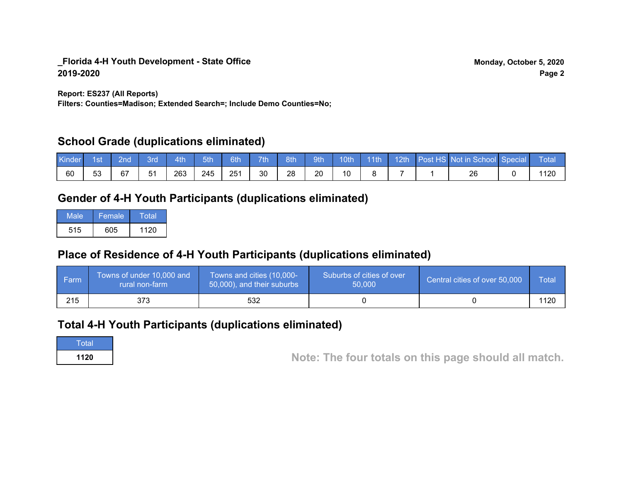**Report: ES237 (All Reports)**

**Filters: Counties=Madison; Extended Search=; Include Demo Counties=No;**

## **School Grade (duplications eliminated)**

| Kinder | 1st | 2nd | 8rd | 4th | 5th | 6th | 7th | 8th | <b>9th</b> | 10th | $-11th$ | 12th | Post HS Not in School Special | Total |
|--------|-----|-----|-----|-----|-----|-----|-----|-----|------------|------|---------|------|-------------------------------|-------|
| 60     | 53  | 67  | 51  | 263 | 245 | 251 | 30  | 28  | 20         | 10   |         |      | 26                            | 120   |

# **Gender of 4-H Youth Participants (duplications eliminated)**

| Male | Female | Total |
|------|--------|-------|
| 515  | 605    | 1120  |

# **Place of Residence of 4-H Youth Participants (duplications eliminated)**

| ∣ Farm | Towns of under 10,000 and<br>rural non-farm | Towns and cities (10,000-<br>50,000), and their suburbs | Suburbs of cities of over<br>50,000 | Central cities of over 50,000 | Total |
|--------|---------------------------------------------|---------------------------------------------------------|-------------------------------------|-------------------------------|-------|
| 215    | 373                                         | 532                                                     |                                     |                               | 1120  |

## **Total 4-H Youth Participants (duplications eliminated)**

**Total** 

**<sup>1120</sup> Note: The four totals on this page should all match.**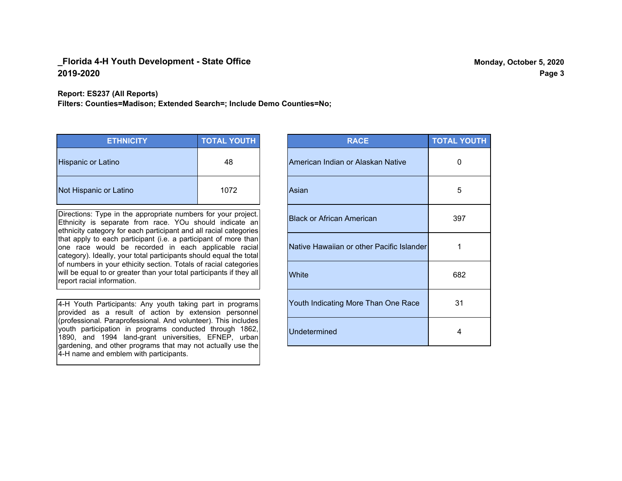**Report: ES237 (All Reports)**

**Filters: Counties=Madison; Extended Search=; Include Demo Counties=No;**

| <b>ETHNICITY</b>          | <b>TOTAL YOUTH</b> |
|---------------------------|--------------------|
| <b>Hispanic or Latino</b> | 48                 |
| Not Hispanic or Latino    | 1072               |

Directions: Type in the appropriate numbers for your project. Ethnicity is separate from race. YOu should indicate an ethnicity category for each participant and all racial categories that apply to each participant (i.e. a participant of more than one race would be recorded in each applicable racial category). Ideally, your total participants should equal the total of numbers in your ethicity section. Totals of racial categories will be equal to or greater than your total participants if they all report racial information.

4-H Youth Participants: Any youth taking part in programs provided as a result of action by extension personnel (professional. Paraprofessional. And volunteer). This includes youth participation in programs conducted through 1862, 1890, and 1994 land-grant universities, EFNEP, urban gardening, and other programs that may not actually use the 4-H name and emblem with participants.

| <b>RACE</b>                               | <b>TOTAL YOUTH</b> |
|-------------------------------------------|--------------------|
| American Indian or Alaskan Native         | O                  |
| Asian                                     | 5                  |
| <b>Black or African American</b>          | 397                |
| Native Hawaiian or other Pacific Islander | 1                  |
| White                                     | 682                |
| Youth Indicating More Than One Race       | 31                 |
| <b>Undetermined</b>                       | 4                  |

**Page 3**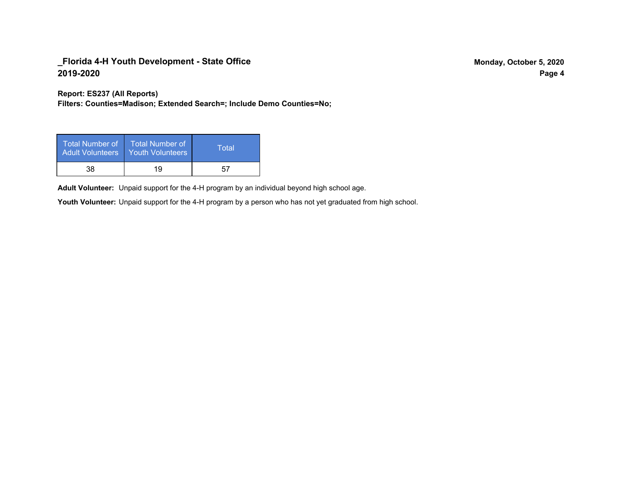**Report: ES237 (All Reports)**

**Filters: Counties=Madison; Extended Search=; Include Demo Counties=No;**

| Total Number of<br><b>Adult Volunteers</b> | <b>Total Number of</b><br><b>Youth Volunteers</b> | Total |
|--------------------------------------------|---------------------------------------------------|-------|
| 38                                         | 19                                                | 57    |

Adult Volunteer: Unpaid support for the 4-H program by an individual beyond high school age.

Youth Volunteer: Unpaid support for the 4-H program by a person who has not yet graduated from high school.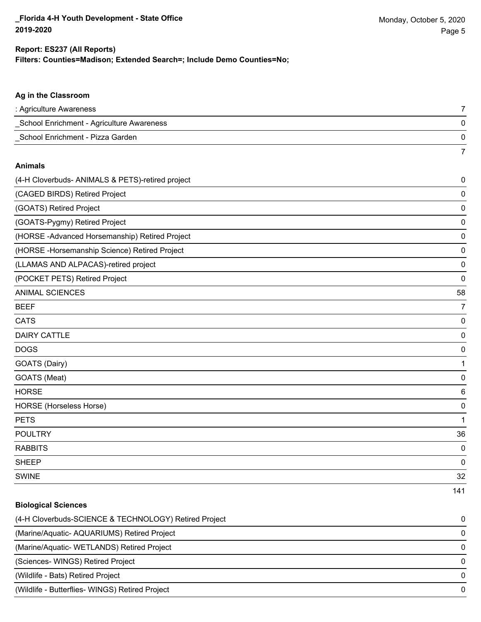### **Filters: Counties=Madison; Extended Search=; Include Demo Counties=No; Report: ES237 (All Reports)**

# **Ag in the Classroom** : Agriculture Awareness 7 \_School Enrichment - Agriculture Awareness 0 \_School Enrichment - Pizza Garden 0 7 **Animals** (4-H Cloverbuds- ANIMALS & PETS)-retired project 0 (CAGED BIRDS) Retired Project 0 (GOATS) Retired Project 0 (GOATS-Pygmy) Retired Project 0 (HORSE -Advanced Horsemanship) Retired Project 0 (HORSE -Horsemanship Science) Retired Project 0 (LLAMAS AND ALPACAS)-retired project 0 (POCKET PETS) Retired Project 0 ANIMAL SCIENCES 58 BEEF 7 CATS 0 DAIRY CATTLE 0 DOGS 0 GOATS (Dairy) 1 GOATS (Meat) 0 HORSE 6 HORSE (Horseless Horse) 0 PETS and the contract of the contract of the contract of the contract of the contract of the contract of the contract of the contract of the contract of the contract of the contract of the contract of the contract of the c POULTRY 36 RABBITS 0 sheep to the control of the control of the control of the control of the control of the control of the control of the control of the control of the control of the control of the control of the control of the control of the SWINE 22 STREET IS A STREET ON THE STREET IS A STREET IN THE STREET OF STREET IS A STREET IS A STREET IS A STR 141

# **Biological Sciences** (4-H Cloverbuds-SCIENCE & TECHNOLOGY) Retired Project 0 (Marine/Aquatic- AQUARIUMS) Retired Project 0 (Marine/Aquatic- WETLANDS) Retired Project 0 (Sciences- WINGS) Retired Project 0 (Wildlife - Bats) Retired Project 0 (Wildlife - Butterflies- WINGS) Retired Project 0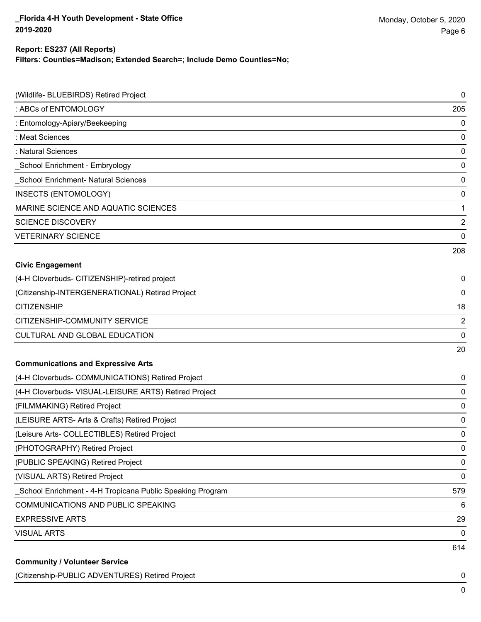## **Report: ES237 (All Reports)**

**Filters: Counties=Madison; Extended Search=; Include Demo Counties=No;**

| (Wildlife- BLUEBIRDS) Retired Project                     | 0              |
|-----------------------------------------------------------|----------------|
| : ABCs of ENTOMOLOGY                                      | 205            |
| : Entomology-Apiary/Beekeeping                            | 0              |
| : Meat Sciences                                           | 0              |
| : Natural Sciences                                        | 0              |
| School Enrichment - Embryology                            | 0              |
| School Enrichment- Natural Sciences                       | 0              |
| INSECTS (ENTOMOLOGY)                                      | 0              |
| MARINE SCIENCE AND AQUATIC SCIENCES                       | 1              |
| <b>SCIENCE DISCOVERY</b>                                  | $\overline{2}$ |
| <b>VETERINARY SCIENCE</b>                                 | 0              |
|                                                           | 208            |
| <b>Civic Engagement</b>                                   |                |
| (4-H Cloverbuds- CITIZENSHIP)-retired project             | 0              |
| (Citizenship-INTERGENERATIONAL) Retired Project           | 0              |
| <b>CITIZENSHIP</b>                                        | 18             |
| CITIZENSHIP-COMMUNITY SERVICE                             | $\overline{2}$ |
| CULTURAL AND GLOBAL EDUCATION                             | 0              |
|                                                           | 20             |
| <b>Communications and Expressive Arts</b>                 |                |
| (4-H Cloverbuds- COMMUNICATIONS) Retired Project          | 0              |
| (4-H Cloverbuds- VISUAL-LEISURE ARTS) Retired Project     | 0              |
| (FILMMAKING) Retired Project                              | 0              |
| (LEISURE ARTS- Arts & Crafts) Retired Project             | 0              |
| (Leisure Arts- COLLECTIBLES) Retired Project              | 0              |
| (PHOTOGRAPHY) Retired Project                             | 0              |
| (PUBLIC SPEAKING) Retired Project                         | 0              |
| (VISUAL ARTS) Retired Project                             | 0              |
| School Enrichment - 4-H Tropicana Public Speaking Program | 579            |
| COMMUNICATIONS AND PUBLIC SPEAKING                        | 6              |
| <b>EXPRESSIVE ARTS</b>                                    | 29             |
| <b>VISUAL ARTS</b>                                        | 0              |
|                                                           | 614            |
| <b>Community / Volunteer Service</b>                      |                |

(Citizenship-PUBLIC ADVENTURES) Retired Project 0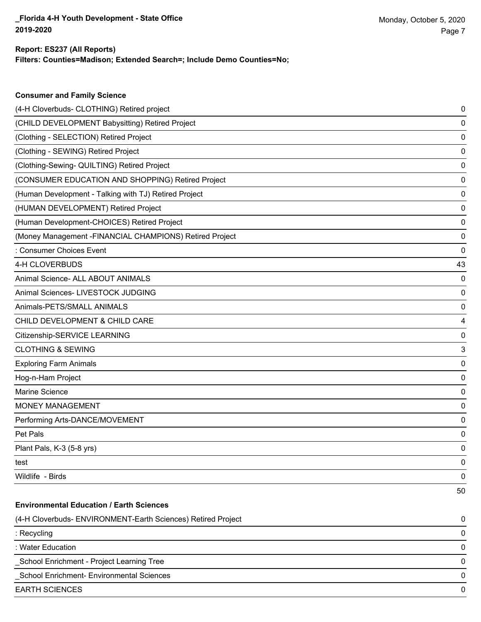**Consumer and Family Science**

### **Filters: Counties=Madison; Extended Search=; Include Demo Counties=No; Report: ES237 (All Reports)**

| (4-H Cloverbuds- CLOTHING) Retired project                   | 0  |
|--------------------------------------------------------------|----|
| (CHILD DEVELOPMENT Babysitting) Retired Project              | 0  |
| (Clothing - SELECTION) Retired Project                       | 0  |
| (Clothing - SEWING) Retired Project                          | 0  |
| (Clothing-Sewing- QUILTING) Retired Project                  | 0  |
| (CONSUMER EDUCATION AND SHOPPING) Retired Project            | 0  |
| (Human Development - Talking with TJ) Retired Project        | 0  |
| (HUMAN DEVELOPMENT) Retired Project                          | 0  |
| (Human Development-CHOICES) Retired Project                  | 0  |
| (Money Management - FINANCIAL CHAMPIONS) Retired Project     | 0  |
| : Consumer Choices Event                                     | 0  |
| 4-H CLOVERBUDS                                               | 43 |
| Animal Science- ALL ABOUT ANIMALS                            | 0  |
| Animal Sciences- LIVESTOCK JUDGING                           | 0  |
| Animals-PETS/SMALL ANIMALS                                   | 0  |
| CHILD DEVELOPMENT & CHILD CARE                               | 4  |
| Citizenship-SERVICE LEARNING                                 | 0  |
| <b>CLOTHING &amp; SEWING</b>                                 | 3  |
| <b>Exploring Farm Animals</b>                                | 0  |
| Hog-n-Ham Project                                            | 0  |
| Marine Science                                               | 0  |
| MONEY MANAGEMENT                                             | 0  |
| Performing Arts-DANCE/MOVEMENT                               | 0  |
| Pet Pals                                                     | 0  |
| Plant Pals, K-3 (5-8 yrs)                                    | 0  |
| test                                                         | 0  |
| Wildlife - Birds                                             | 0  |
|                                                              | 50 |
| <b>Environmental Education / Earth Sciences</b>              |    |
| (4-H Cloverbuds- ENVIRONMENT-Earth Sciences) Retired Project | 0  |
| : Recycling                                                  | 0  |
| : Water Education                                            | 0  |
| School Enrichment - Project Learning Tree                    | 0  |
| School Enrichment- Environmental Sciences                    | 0  |
| <b>EARTH SCIENCES</b>                                        | 0  |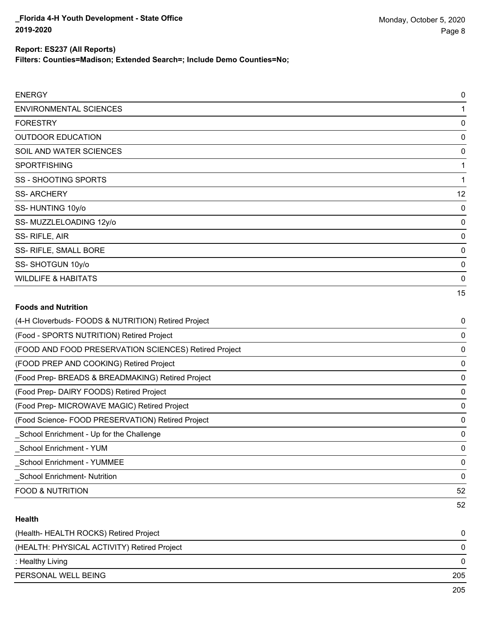### **Report: ES237 (All Reports)**

**Filters: Counties=Madison; Extended Search=; Include Demo Counties=No;**

| <b>ENERGY</b>                                         | $\mathbf 0$ |
|-------------------------------------------------------|-------------|
| <b>ENVIRONMENTAL SCIENCES</b>                         | 1           |
| <b>FORESTRY</b>                                       | 0           |
| <b>OUTDOOR EDUCATION</b>                              | 0           |
| SOIL AND WATER SCIENCES                               | 0           |
| <b>SPORTFISHING</b>                                   | 1           |
| <b>SS - SHOOTING SPORTS</b>                           | 1           |
| <b>SS-ARCHERY</b>                                     | 12          |
| SS-HUNTING 10y/o                                      | 0           |
| SS-MUZZLELOADING 12y/o                                | 0           |
| SS-RIFLE, AIR                                         | 0           |
| SS- RIFLE, SMALL BORE                                 | 0           |
| SS-SHOTGUN 10y/o                                      | $\mathbf 0$ |
| <b>WILDLIFE &amp; HABITATS</b>                        | $\mathbf 0$ |
|                                                       | 15          |
| <b>Foods and Nutrition</b>                            |             |
| (4-H Cloverbuds- FOODS & NUTRITION) Retired Project   | 0           |
| (Food - SPORTS NUTRITION) Retired Project             | 0           |
| (FOOD AND FOOD PRESERVATION SCIENCES) Retired Project | 0           |
| (FOOD PREP AND COOKING) Retired Project               | $\mathbf 0$ |
| (Food Prep- BREADS & BREADMAKING) Retired Project     | 0           |
| (Food Prep- DAIRY FOODS) Retired Project              | 0           |
| (Food Prep- MICROWAVE MAGIC) Retired Project          | 0           |
| (Food Science- FOOD PRESERVATION) Retired Project     | 0           |
| School Enrichment - Up for the Challenge              | 0           |
| School Enrichment - YUM                               | $\mathbf 0$ |
| _School Enrichment - YUMMEE                           | 0           |
| _School Enrichment- Nutrition                         | 0           |
| <b>FOOD &amp; NUTRITION</b>                           | 52          |

### **Health**

| (Health-HEALTH ROCKS) Retired Project       |                                    |
|---------------------------------------------|------------------------------------|
| (HEALTH: PHYSICAL ACTIVITY) Retired Project | 0                                  |
| : Healthy Living                            | 0                                  |
| PERSONAL WELL BEING                         | 205                                |
|                                             | $\mathbf{a} \mathbf{b} \mathbf{c}$ |

52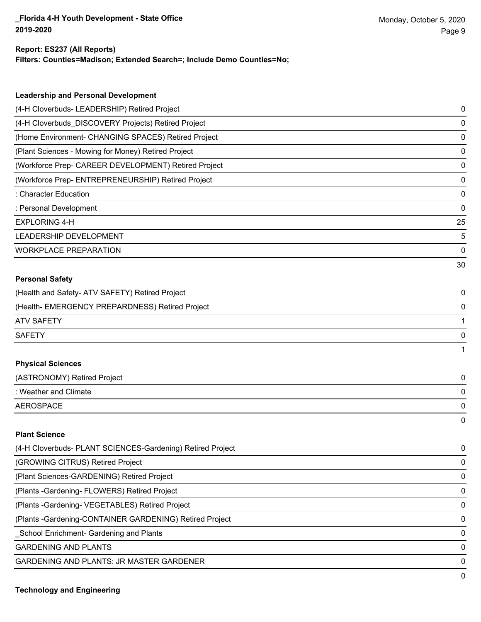### **Report: ES237 (All Reports)**

**Filters: Counties=Madison; Extended Search=; Include Demo Counties=No;**

| <b>Leadership and Personal Development</b>                 |    |
|------------------------------------------------------------|----|
| (4-H Cloverbuds- LEADERSHIP) Retired Project               | 0  |
| (4-H Cloverbuds_DISCOVERY Projects) Retired Project        | 0  |
| (Home Environment- CHANGING SPACES) Retired Project        | 0  |
| (Plant Sciences - Mowing for Money) Retired Project        | 0  |
| (Workforce Prep- CAREER DEVELOPMENT) Retired Project       | 0  |
| (Workforce Prep- ENTREPRENEURSHIP) Retired Project         | 0  |
| : Character Education                                      | 0  |
| : Personal Development                                     | 0  |
| <b>EXPLORING 4-H</b>                                       | 25 |
| LEADERSHIP DEVELOPMENT                                     | 5  |
| <b>WORKPLACE PREPARATION</b>                               | 0  |
|                                                            | 30 |
| <b>Personal Safety</b>                                     |    |
| (Health and Safety- ATV SAFETY) Retired Project            | 0  |
| (Health- EMERGENCY PREPARDNESS) Retired Project            | 0  |
| <b>ATV SAFETY</b>                                          | 1  |
| <b>SAFETY</b>                                              | 0  |
|                                                            | 1  |
| <b>Physical Sciences</b>                                   |    |
| (ASTRONOMY) Retired Project                                | 0  |
| : Weather and Climate                                      | 0  |
| <b>AEROSPACE</b>                                           | 0  |
|                                                            | 0  |
| <b>Plant Science</b>                                       |    |
| (4-H Cloverbuds- PLANT SCIENCES-Gardening) Retired Project | 0  |
| (GROWING CITRUS) Retired Project                           | 0  |
| (Plant Sciences-GARDENING) Retired Project                 | 0  |
| (Plants - Gardening - FLOWERS) Retired Project             | 0  |
| (Plants - Gardening - VEGETABLES) Retired Project          | 0  |
| (Plants - Gardening-CONTAINER GARDENING) Retired Project   | 0  |

\_School Enrichment- Gardening and Plants 0

GARDENING AND PLANTS ON A SERIES AND SERIES OF A SERIES OF A SERIES OF A SERIES OF A SERIES OF A SERIES OF A SERIES OF A SERIES OF A SERIES OF A SERIES OF A SERIES OF A SERIES OF A SERIES OF A SERIES OF A SERIES OF A SERIE

GARDENING AND PLANTS: JR MASTER GARDENER 0